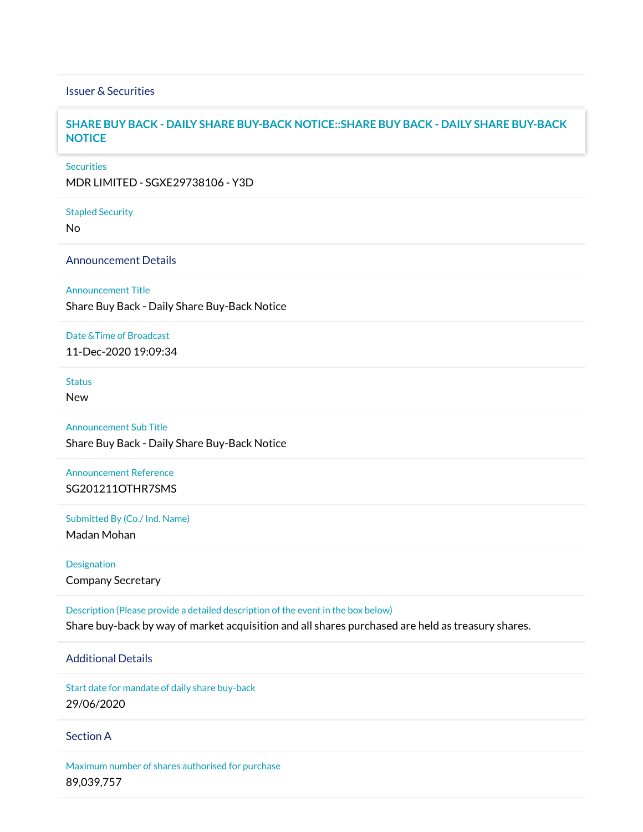### Issuer & Securities

# Issuer/ Manager **SHARE BUY BACK - DAILY SHARE BUY-BACK NOTICE::SHARE BUY BACK - DAILY SHARE BUY-BACK NOTICE**

#### **Securities**

MDR LIMITED - SGXE29738106 - Y3D

Stapled Security

No

Announcement Details

Announcement Title

Share Buy Back - Daily Share Buy-Back Notice

Date &Time of Broadcast

11-Dec-2020 19:09:34

Status

New

Announcement Sub Title Share Buy Back - Daily Share Buy-Back Notice

Announcement Reference SG201211OTHR7SMS

Submitted By (Co./ Ind. Name)

Madan Mohan

Designation Company Secretary

Description (Please provide a detailed description of the event in the box below) Share buy-back by way of market acquisition and all shares purchased are held as treasury shares.

Additional Details

Start date for mandate of daily share buy-back 29/06/2020

Section A

Maximum number of shares authorised for purchase 89,039,757